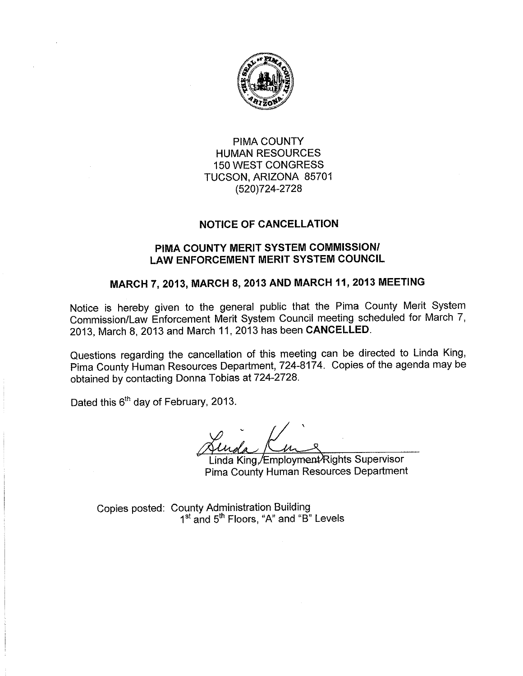

## PIMA COUNTY **HUMAN RESOURCES 150 WEST CONGRESS** TUCSON, ARIZONA 85701 (520)724-2728

### **NOTICE OF CANCELLATION**

### PIMA COUNTY MERIT SYSTEM COMMISSION/ **LAW ENFORCEMENT MERIT SYSTEM COUNCIL**

# MARCH 7, 2013, MARCH 8, 2013 AND MARCH 11, 2013 MEETING

Notice is hereby given to the general public that the Pima County Merit System Commission/Law Enforcement Merit System Council meeting scheduled for March 7, 2013, March 8, 2013 and March 11, 2013 has been CANCELLED.

Questions regarding the cancellation of this meeting can be directed to Linda King, Pima County Human Resources Department, 724-8174. Copies of the agenda may be obtained by contacting Donna Tobias at 724-2728.

Dated this 6<sup>th</sup> day of February, 2013.

Linda King, Employment Rights Supervisor Pima County Human Resources Department

Copies posted: County Administration Building 1<sup>st</sup> and 5<sup>th</sup> Floors, "A" and "B" Levels